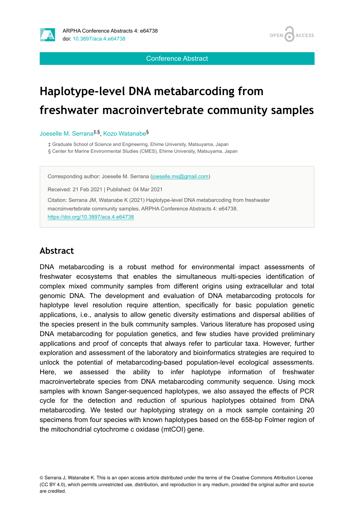

**OPEN ACCESS** 

Conference Abstract

# **Haplotype-level DNA metabarcoding from freshwater macroinvertebrate community samples**

Joeselle M. Serrana<sup>‡,§</sup>, Kozo Watanabe<sup>§</sup>

‡ Graduate School of Science and Engineering, Ehime University, Matsuyama, Japan

§ Center for Marine Environmental Studies (CMES), Ehime University, Matsuyama, Japan

Corresponding author: Joeselle M. Serrana ([joeselle.ms@gmail.com](mailto:joeselle.ms@gmail.com))

Received: 21 Feb 2021 | Published: 04 Mar 2021

Citation: Serrana JM, Watanabe K (2021) Haplotype-level DNA metabarcoding from freshwater macroinvertebrate community samples. ARPHA Conference Abstracts 4: e64738. <https://doi.org/10.3897/aca.4.e64738>

# **Abstract**

DNA metabarcoding is a robust method for environmental impact assessments of freshwater ecosystems that enables the simultaneous multi-species identification of complex mixed community samples from different origins using extracellular and total genomic DNA. The development and evaluation of DNA metabarcoding protocols for haplotype level resolution require attention, specifically for basic population genetic applications, i.e., analysis to allow genetic diversity estimations and dispersal abilities of the species present in the bulk community samples. Various literature has proposed using DNA metabarcoding for population genetics, and few studies have provided preliminary applications and proof of concepts that always refer to particular taxa. However, further exploration and assessment of the laboratory and bioinformatics strategies are required to unlock the potential of metabarcoding-based population-level ecological assessments. Here, we assessed the ability to infer haplotype information of freshwater macroinvertebrate species from DNA metabarcoding community sequence. Using mock samples with known Sanger-sequenced haplotypes, we also assayed the effects of PCR cycle for the detection and reduction of spurious haplotypes obtained from DNA metabarcoding. We tested our haplotyping strategy on a mock sample containing 20 specimens from four species with known haplotypes based on the 658-bp Folmer region of the mitochondrial cytochrome c oxidase (mtCOI) gene.

<sup>©</sup> Serrana J, Watanabe K. This is an open access article distributed under the terms of the Creative Commons Attribution License (CC BY 4.0), which permits unrestricted use, distribution, and reproduction in any medium, provided the original author and source are credited.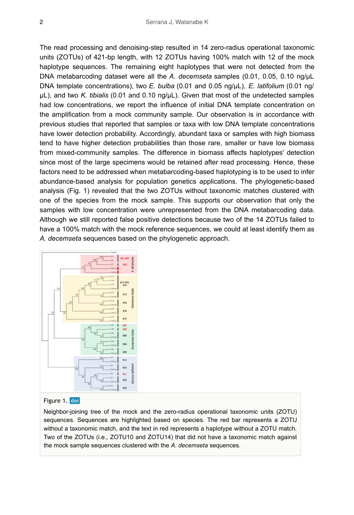The read processing and denoising-step resulted in 14 zero-radius operational taxonomic units (ZOTUs) of 421-bp length, with 12 ZOTUs having 100% match with 12 of the mock haplotype sequences. The remaining eight haplotypes that were not detected from the DNA metabarcoding dataset were all the *A. decemseta* samples (0.01, 0.05, 0.10 ng/μL DNA template concentrations), two *E. bulba* (0.01 and 0.05 ng/μL), *E. latifolium* (0.01 ng/ μL), and two *K. tibialis* (0.01 and 0.10 ng/μL). Given that most of the undetected samples had low concentrations, we report the influence of initial DNA template concentration on the amplification from a mock community sample. Our observation is in accordance with previous studies that reported that samples or taxa with low DNA template concentrations have lower detection probability. Accordingly, abundant taxa or samples with high biomass tend to have higher detection probabilities than those rare, smaller or have low biomass from mixed-community samples. The difference in biomass affects haplotypes' detection since most of the large specimens would be retained after read processing. Hence, these factors need to be addressed when metabarcoding-based haplotyping is to be used to infer abundance-based analysis for population genetics applications. The phylogenetic-based analysis (Fig. 1) revealed that the two ZOTUs without taxonomic matches clustered with one of the species from the mock sample. This supports our observation that only the samples with low concentration were unrepresented from the DNA metabarcoding data. Although we still reported false positive detections because two of the 14 ZOTUs failed to have a 100% match with the mock reference sequences, we could at least identify them as *A. decemseta* sequences based on the phylogenetic approach.



#### Figure 1. doi

Neighbor-joining tree of the mock and the zero-radius operational taxonomic units (ZOTU) sequences. Sequences are highlighted based on species. The red bar represents a ZOTU without a taxonomic match, and the text in red represents a haplotype without a ZOTU match. Two of the ZOTUs (i.e., ZOTU10 and ZOTU14) that did not have a taxonomic match against the mock sample sequences clustered with the *A. decemseta* sequences.